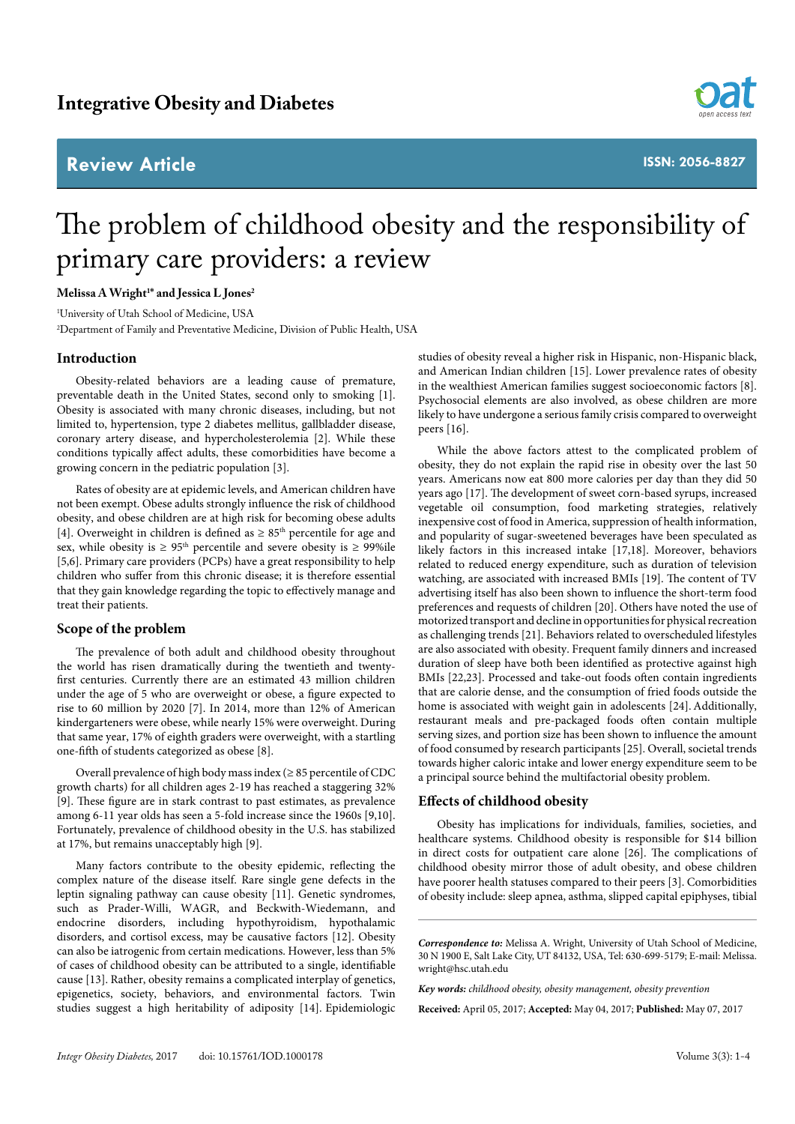# **Review Article**



**ISSN: 2056-8827**

# The problem of childhood obesity and the responsibility of primary care providers: a review

# **Melissa A Wright1 \* and Jessica L Jones2**

1 University of Utah School of Medicine, USA 2 Department of Family and Preventative Medicine, Division of Public Health, USA

### **Introduction**

Obesity-related behaviors are a leading cause of premature, preventable death in the United States, second only to smoking [1]. Obesity is associated with many chronic diseases, including, but not limited to, hypertension, type 2 diabetes mellitus, gallbladder disease, coronary artery disease, and hypercholesterolemia [2]. While these conditions typically affect adults, these comorbidities have become a growing concern in the pediatric population [3].

Rates of obesity are at epidemic levels, and American children have not been exempt. Obese adults strongly influence the risk of childhood obesity, and obese children are at high risk for becoming obese adults [4]. Overweight in children is defined as  $\geq 85^{\text{th}}$  percentile for age and sex, while obesity is  $\geq 95$ <sup>th</sup> percentile and severe obesity is  $\geq 99\%$ ile [5,6]. Primary care providers (PCPs) have a great responsibility to help children who suffer from this chronic disease; it is therefore essential that they gain knowledge regarding the topic to effectively manage and treat their patients.

#### **Scope of the problem**

The prevalence of both adult and childhood obesity throughout the world has risen dramatically during the twentieth and twentyfirst centuries. Currently there are an estimated 43 million children under the age of 5 who are overweight or obese, a figure expected to rise to 60 million by 2020 [7]. In 2014, more than 12% of American kindergarteners were obese, while nearly 15% were overweight. During that same year, 17% of eighth graders were overweight, with a startling one-fifth of students categorized as obese [8].

Overall prevalence of high body mass index (≥ 85 percentile of CDC growth charts) for all children ages 2-19 has reached a staggering 32% [9]. These figure are in stark contrast to past estimates, as prevalence among 6-11 year olds has seen a 5-fold increase since the 1960s [9,10]. Fortunately, prevalence of childhood obesity in the U.S. has stabilized at 17%, but remains unacceptably high [9].

Many factors contribute to the obesity epidemic, reflecting the complex nature of the disease itself. Rare single gene defects in the leptin signaling pathway can cause obesity [11]. Genetic syndromes, such as Prader-Willi, WAGR, and Beckwith-Wiedemann, and endocrine disorders, including hypothyroidism, hypothalamic disorders, and cortisol excess, may be causative factors [12]. Obesity can also be iatrogenic from certain medications. However, less than 5% of cases of childhood obesity can be attributed to a single, identifiable cause [13]. Rather, obesity remains a complicated interplay of genetics, epigenetics, society, behaviors, and environmental factors. Twin studies suggest a high heritability of adiposity [14]. Epidemiologic

studies of obesity reveal a higher risk in Hispanic, non-Hispanic black, and American Indian children [15]. Lower prevalence rates of obesity in the wealthiest American families suggest socioeconomic factors [8]. Psychosocial elements are also involved, as obese children are more likely to have undergone a serious family crisis compared to overweight peers [16].

While the above factors attest to the complicated problem of obesity, they do not explain the rapid rise in obesity over the last 50 years. Americans now eat 800 more calories per day than they did 50 years ago [17]. The development of sweet corn-based syrups, increased vegetable oil consumption, food marketing strategies, relatively inexpensive cost of food in America, suppression of health information, and popularity of sugar-sweetened beverages have been speculated as likely factors in this increased intake [17,18]. Moreover, behaviors related to reduced energy expenditure, such as duration of television watching, are associated with increased BMIs [19]. The content of TV advertising itself has also been shown to influence the short-term food preferences and requests of children [20]. Others have noted the use of motorized transport and decline in opportunities for physical recreation as challenging trends [21]. Behaviors related to overscheduled lifestyles are also associated with obesity. Frequent family dinners and increased duration of sleep have both been identified as protective against high BMIs [22,23]. Processed and take-out foods often contain ingredients that are calorie dense, and the consumption of fried foods outside the home is associated with weight gain in adolescents [24]. Additionally, restaurant meals and pre-packaged foods often contain multiple serving sizes, and portion size has been shown to influence the amount of food consumed by research participants [25]. Overall, societal trends towards higher caloric intake and lower energy expenditure seem to be a principal source behind the multifactorial obesity problem.

## **Effects of childhood obesity**

Obesity has implications for individuals, families, societies, and healthcare systems. Childhood obesity is responsible for \$14 billion in direct costs for outpatient care alone [26]. The complications of childhood obesity mirror those of adult obesity, and obese children have poorer health statuses compared to their peers [3]. Comorbidities of obesity include: sleep apnea, asthma, slipped capital epiphyses, tibial

**Received:** April 05, 2017; **Accepted:** May 04, 2017; **Published:** May 07, 2017

*Correspondence to:* Melissa A. Wright, University of Utah School of Medicine, 30 N 1900 E, Salt Lake City, UT 84132, USA, Tel: 630-699-5179; E-mail: Melissa. wright@hsc.utah.edu

*Key words: childhood obesity, obesity management, obesity prevention*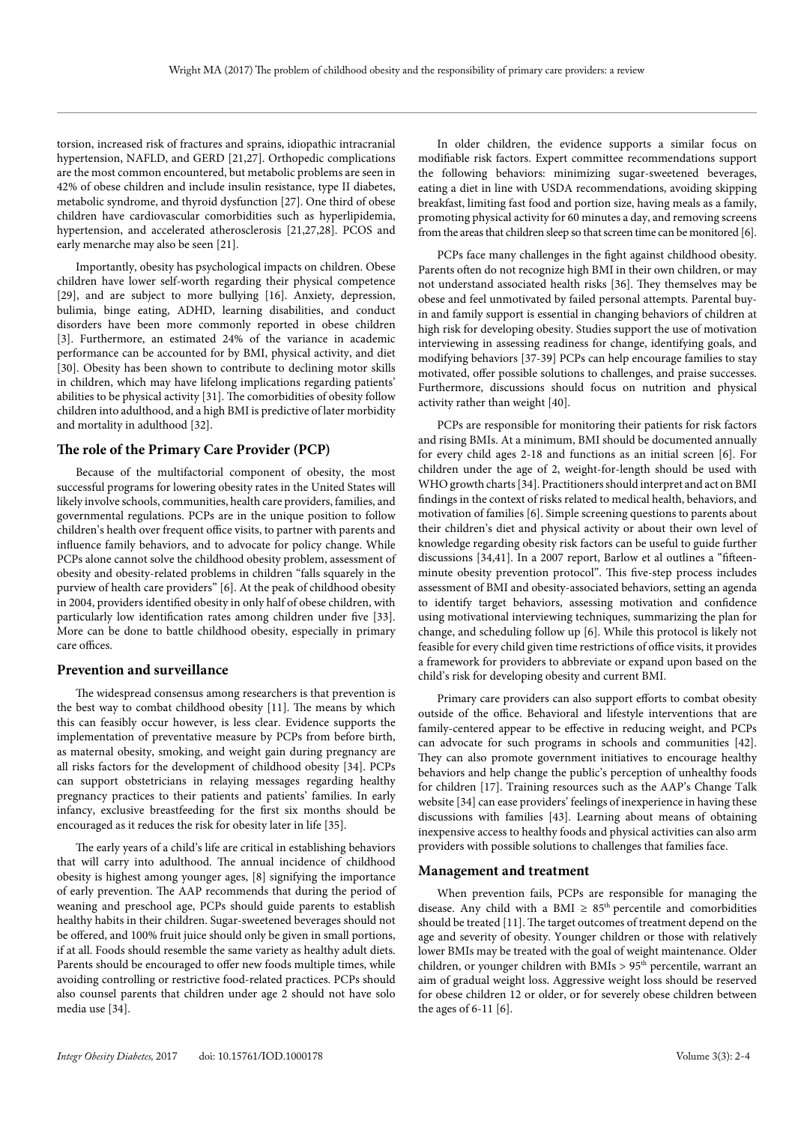torsion, increased risk of fractures and sprains, idiopathic intracranial hypertension, NAFLD, and GERD [21,27]. Orthopedic complications are the most common encountered, but metabolic problems are seen in 42% of obese children and include insulin resistance, type II diabetes, metabolic syndrome, and thyroid dysfunction [27]. One third of obese children have cardiovascular comorbidities such as hyperlipidemia, hypertension, and accelerated atherosclerosis [21,27,28]. PCOS and early menarche may also be seen [21].

Importantly, obesity has psychological impacts on children. Obese children have lower self-worth regarding their physical competence [29], and are subject to more bullying [16]. Anxiety, depression, bulimia, binge eating, ADHD, learning disabilities, and conduct disorders have been more commonly reported in obese children [3]. Furthermore, an estimated 24% of the variance in academic performance can be accounted for by BMI, physical activity, and diet [30]. Obesity has been shown to contribute to declining motor skills in children, which may have lifelong implications regarding patients' abilities to be physical activity [31]. The comorbidities of obesity follow children into adulthood, and a high BMI is predictive of later morbidity and mortality in adulthood [32].

#### **The role of the Primary Care Provider (PCP)**

Because of the multifactorial component of obesity, the most successful programs for lowering obesity rates in the United States will likely involve schools, communities, health care providers, families, and governmental regulations. PCPs are in the unique position to follow children's health over frequent office visits, to partner with parents and influence family behaviors, and to advocate for policy change. While PCPs alone cannot solve the childhood obesity problem, assessment of obesity and obesity-related problems in children "falls squarely in the purview of health care providers" [6]. At the peak of childhood obesity in 2004, providers identified obesity in only half of obese children, with particularly low identification rates among children under five [33]. More can be done to battle childhood obesity, especially in primary care offices.

#### **Prevention and surveillance**

The widespread consensus among researchers is that prevention is the best way to combat childhood obesity [11]. The means by which this can feasibly occur however, is less clear. Evidence supports the implementation of preventative measure by PCPs from before birth, as maternal obesity, smoking, and weight gain during pregnancy are all risks factors for the development of childhood obesity [34]. PCPs can support obstetricians in relaying messages regarding healthy pregnancy practices to their patients and patients' families. In early infancy, exclusive breastfeeding for the first six months should be encouraged as it reduces the risk for obesity later in life [35].

The early years of a child's life are critical in establishing behaviors that will carry into adulthood. The annual incidence of childhood obesity is highest among younger ages, [8] signifying the importance of early prevention. The AAP recommends that during the period of weaning and preschool age, PCPs should guide parents to establish healthy habits in their children. Sugar-sweetened beverages should not be offered, and 100% fruit juice should only be given in small portions, if at all. Foods should resemble the same variety as healthy adult diets. Parents should be encouraged to offer new foods multiple times, while avoiding controlling or restrictive food-related practices. PCPs should also counsel parents that children under age 2 should not have solo media use [34].

In older children, the evidence supports a similar focus on modifiable risk factors. Expert committee recommendations support the following behaviors: minimizing sugar-sweetened beverages, eating a diet in line with USDA recommendations, avoiding skipping breakfast, limiting fast food and portion size, having meals as a family, promoting physical activity for 60 minutes a day, and removing screens from the areas that children sleep so that screen time can be monitored [6].

PCPs face many challenges in the fight against childhood obesity. Parents often do not recognize high BMI in their own children, or may not understand associated health risks [36]. They themselves may be obese and feel unmotivated by failed personal attempts. Parental buyin and family support is essential in changing behaviors of children at high risk for developing obesity. Studies support the use of motivation interviewing in assessing readiness for change, identifying goals, and modifying behaviors [37-39] PCPs can help encourage families to stay motivated, offer possible solutions to challenges, and praise successes. Furthermore, discussions should focus on nutrition and physical activity rather than weight [40].

PCPs are responsible for monitoring their patients for risk factors and rising BMIs. At a minimum, BMI should be documented annually for every child ages 2-18 and functions as an initial screen [6]. For children under the age of 2, weight-for-length should be used with WHO growth charts [34]. Practitioners should interpret and act on BMI findings in the context of risks related to medical health, behaviors, and motivation of families [6]. Simple screening questions to parents about their children's diet and physical activity or about their own level of knowledge regarding obesity risk factors can be useful to guide further discussions [34,41]. In a 2007 report, Barlow et al outlines a "fifteenminute obesity prevention protocol". This five-step process includes assessment of BMI and obesity-associated behaviors, setting an agenda to identify target behaviors, assessing motivation and confidence using motivational interviewing techniques, summarizing the plan for change, and scheduling follow up [6]. While this protocol is likely not feasible for every child given time restrictions of office visits, it provides a framework for providers to abbreviate or expand upon based on the child's risk for developing obesity and current BMI.

Primary care providers can also support efforts to combat obesity outside of the office. Behavioral and lifestyle interventions that are family-centered appear to be effective in reducing weight, and PCPs can advocate for such programs in schools and communities [42]. They can also promote government initiatives to encourage healthy behaviors and help change the public's perception of unhealthy foods for children [17]. Training resources such as the AAP's Change Talk website [34] can ease providers' feelings of inexperience in having these discussions with families [43]. Learning about means of obtaining inexpensive access to healthy foods and physical activities can also arm providers with possible solutions to challenges that families face.

#### **Management and treatment**

When prevention fails, PCPs are responsible for managing the disease. Any child with a BMI  $\geq 85^{\text{th}}$  percentile and comorbidities should be treated [11]. The target outcomes of treatment depend on the age and severity of obesity. Younger children or those with relatively lower BMIs may be treated with the goal of weight maintenance. Older children, or younger children with BMIs  $> 95<sup>th</sup>$  percentile, warrant an aim of gradual weight loss. Aggressive weight loss should be reserved for obese children 12 or older, or for severely obese children between the ages of 6-11 [6].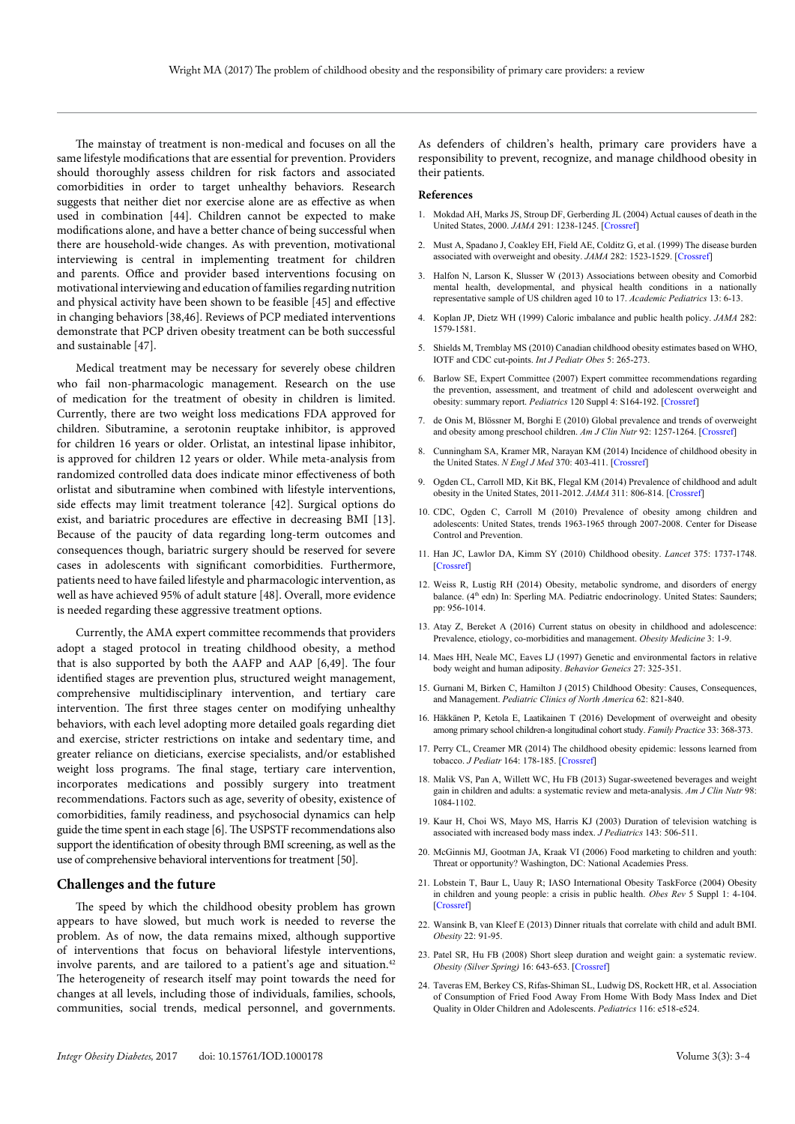The mainstay of treatment is non-medical and focuses on all the same lifestyle modifications that are essential for prevention. Providers should thoroughly assess children for risk factors and associated comorbidities in order to target unhealthy behaviors. Research suggests that neither diet nor exercise alone are as effective as when used in combination [44]. Children cannot be expected to make modifications alone, and have a better chance of being successful when there are household-wide changes. As with prevention, motivational interviewing is central in implementing treatment for children and parents. Office and provider based interventions focusing on motivational interviewing and education of families regarding nutrition and physical activity have been shown to be feasible [45] and effective in changing behaviors [38,46]. Reviews of PCP mediated interventions demonstrate that PCP driven obesity treatment can be both successful and sustainable [47].

Medical treatment may be necessary for severely obese children who fail non-pharmacologic management. Research on the use of medication for the treatment of obesity in children is limited. Currently, there are two weight loss medications FDA approved for children. Sibutramine, a serotonin reuptake inhibitor, is approved for children 16 years or older. Orlistat, an intestinal lipase inhibitor, is approved for children 12 years or older. While meta-analysis from randomized controlled data does indicate minor effectiveness of both orlistat and sibutramine when combined with lifestyle interventions, side effects may limit treatment tolerance [42]. Surgical options do exist, and bariatric procedures are effective in decreasing BMI [13]. Because of the paucity of data regarding long-term outcomes and consequences though, bariatric surgery should be reserved for severe cases in adolescents with significant comorbidities. Furthermore, patients need to have failed lifestyle and pharmacologic intervention, as well as have achieved 95% of adult stature [48]. Overall, more evidence is needed regarding these aggressive treatment options.

Currently, the AMA expert committee recommends that providers adopt a staged protocol in treating childhood obesity, a method that is also supported by both the AAFP and AAP [6,49]. The four identified stages are prevention plus, structured weight management, comprehensive multidisciplinary intervention, and tertiary care intervention. The first three stages center on modifying unhealthy behaviors, with each level adopting more detailed goals regarding diet and exercise, stricter restrictions on intake and sedentary time, and greater reliance on dieticians, exercise specialists, and/or established weight loss programs. The final stage, tertiary care intervention, incorporates medications and possibly surgery into treatment recommendations. Factors such as age, severity of obesity, existence of comorbidities, family readiness, and psychosocial dynamics can help guide the time spent in each stage [6]. The USPSTF recommendations also support the identification of obesity through BMI screening, as well as the use of comprehensive behavioral interventions for treatment [50].

#### **Challenges and the future**

The speed by which the childhood obesity problem has grown appears to have slowed, but much work is needed to reverse the problem. As of now, the data remains mixed, although supportive of interventions that focus on behavioral lifestyle interventions, involve parents, and are tailored to a patient's age and situation.<sup>42</sup> The heterogeneity of research itself may point towards the need for changes at all levels, including those of individuals, families, schools, communities, social trends, medical personnel, and governments.

As defenders of children's health, primary care providers have a responsibility to prevent, recognize, and manage childhood obesity in their patients.

#### **References**

- 1. Mokdad AH, Marks JS, Stroup DF, Gerberding JL (2004) Actual causes of death in the United States, 2000. *JAMA* 291: 1238-1245. [\[Crossref\]](http://www.ncbi.nlm.nih.gov/pubmed/15010446)
- 2. Must A, Spadano J, Coakley EH, Field AE, Colditz G, et al. (1999) The disease burden associated with overweight and obesity. *JAMA* 282: 1523-1529. [\[Crossref\]](http://www.ncbi.nlm.nih.gov/pubmed/10546691)
- 3. Halfon N, Larson K, Slusser W (2013) Associations between obesity and Comorbid mental health, developmental, and physical health conditions in a nationally representative sample of US children aged 10 to 17. *Academic Pediatrics* 13: 6-13.
- 4. Koplan JP, Dietz WH (1999) Caloric imbalance and public health policy. *JAMA* 282: 1579-1581.
- 5. Shields M, Tremblay MS (2010) Canadian childhood obesity estimates based on WHO, IOTF and CDC cut-points. *Int J Pediatr Obes* 5: 265-273.
- 6. Barlow SE, Expert Committee (2007) Expert committee recommendations regarding the prevention, assessment, and treatment of child and adolescent overweight and obesity: summary report. *Pediatrics* 120 Suppl 4: S164-192. [\[Crossref\]](http://www.ncbi.nlm.nih.gov/pubmed/18055651)
- 7. de Onis M, Blössner M, Borghi E (2010) Global prevalence and trends of overweight and obesity among preschool children. *Am J Clin Nutr* 92: 1257-1264. [\[Crossref\]](http://www.ncbi.nlm.nih.gov/pubmed/20861173)
- 8. Cunningham SA, Kramer MR, Narayan KM (2014) Incidence of childhood obesity in the United States. *N Engl J Med* 370: 403-411. [\[Crossref\]](http://www.ncbi.nlm.nih.gov/pubmed/24476431)
- 9. Ogden CL, Carroll MD, Kit BK, Flegal KM (2014) Prevalence of childhood and adult obesity in the United States, 2011-2012. *JAMA* 311: 806-814. [\[Crossref\]](http://www.ncbi.nlm.nih.gov/pubmed/24570244)
- 10. CDC, Ogden C, Carroll M (2010) Prevalence of obesity among children and adolescents: United States, trends 1963-1965 through 2007-2008. Center for Disease Control and Prevention.
- 11. Han JC, Lawlor DA, Kimm SY (2010) Childhood obesity. *Lancet* 375: 1737-1748. [\[Crossref\]](http://www.ncbi.nlm.nih.gov/pubmed/20451244)
- 12. Weiss R, Lustig RH (2014) Obesity, metabolic syndrome, and disorders of energy balance. (4<sup>th</sup> edn) In: Sperling MA. Pediatric endocrinology. United States: Saunders; pp: 956-1014.
- 13. Atay Z, Bereket A (2016) Current status on obesity in childhood and adolescence: Prevalence, etiology, co-morbidities and management. *Obesity Medicine* 3: 1-9.
- 14. Maes HH, Neale MC, Eaves LJ (1997) Genetic and environmental factors in relative body weight and human adiposity. *Behavior Geneics* 27: 325-351.
- 15. Gurnani M, Birken C, Hamilton J (2015) Childhood Obesity: Causes, Consequences, and Management. *Pediatric Clinics of North America* 62: 821-840.
- 16. Häkkänen P, Ketola E, Laatikainen T (2016) Development of overweight and obesity among primary school children-a longitudinal cohort study. *Family Practice* 33: 368-373.
- 17. Perry CL, Creamer MR (2014) The childhood obesity epidemic: lessons learned from tobacco. *J Pediatr* 164: 178-185. [\[Crossref\]](http://www.ncbi.nlm.nih.gov/pubmed/24011763)
- 18. Malik VS, Pan A, Willett WC, Hu FB (2013) Sugar-sweetened beverages and weight gain in children and adults: a systematic review and meta-analysis. *Am J Clin Nutr* 98: 1084-1102.
- 19. Kaur H, Choi WS, Mayo MS, Harris KJ (2003) Duration of television watching is associated with increased body mass index. *J Pediatrics* 143: 506-511.
- 20. McGinnis MJ, Gootman JA, Kraak VI (2006) Food marketing to children and youth: Threat or opportunity? Washington, DC: National Academies Press.
- 21. Lobstein T, Baur L, Uauy R; IASO International Obesity TaskForce (2004) Obesity in children and young people: a crisis in public health. *Obes Rev* 5 Suppl 1: 4-104. [\[Crossref\]](http://www.ncbi.nlm.nih.gov/pubmed/15096099)
- 22. Wansink B, van Kleef E (2013) Dinner rituals that correlate with child and adult BMI. *Obesity* 22: 91-95.
- 23. Patel SR, Hu FB (2008) Short sleep duration and weight gain: a systematic review. *Obesity (Silver Spring)* 16: 643-653. [\[Crossref\]](http://www.ncbi.nlm.nih.gov/pubmed/18239586)
- 24. Taveras EM, Berkey CS, Rifas-Shiman SL, Ludwig DS, Rockett HR, et al. Association of Consumption of Fried Food Away From Home With Body Mass Index and Diet Quality in Older Children and Adolescents. *Pediatrics* 116: e518-e524.